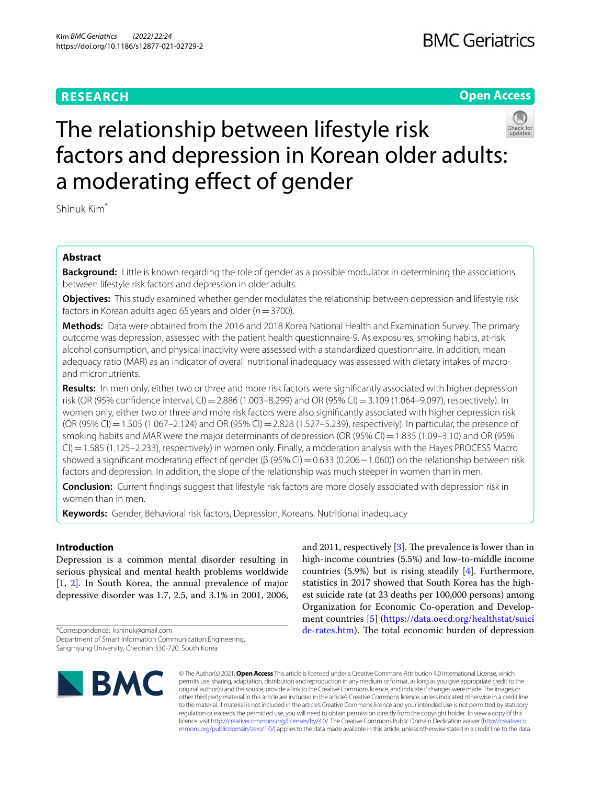# **RESEARCH**

# **Open Access**



# The relationship between lifestyle risk factors and depression in Korean older adults: a moderating effect of gender

Shinuk Kim\*

# **Abstract**

**Background:** Little is known regarding the role of gender as a possible modulator in determining the associations between lifestyle risk factors and depression in older adults.

**Objectives:** This study examined whether gender modulates the relationship between depression and lifestyle risk factors in Korean adults aged 65 years and older (*n*=3700).

**Methods:** Data were obtained from the 2016 and 2018 Korea National Health and Examination Survey. The primary outcome was depression, assessed with the patient health questionnaire-9. As exposures, smoking habits, at-risk alcohol consumption, and physical inactivity were assessed with a standardized questionnaire. In addition, mean adequacy ratio (MAR) as an indicator of overall nutritional inadequacy was assessed with dietary intakes of macroand micronutrients.

**Results:** In men only, either two or three and more risk factors were signifcantly associated with higher depression risk (OR (95% confdence interval, CI)=2.886 (1.003–8.299) and OR (95% CI)=3.109 (1.064–9.097), respectively). In women only, either two or three and more risk factors were also signifcantly associated with higher depression risk (OR (95% CI) = 1.505 (1.067–2.124) and OR (95% CI) = 2.828 (1.527–5.239), respectively). In particular, the presence of smoking habits and MAR were the major determinants of depression (OR (95% CI) = 1.835 (1.09–3.10) and OR (95% CI)=1.585 (1.125–2.233), respectively) in women only. Finally, a moderation analysis with the Hayes PROCESS Macro showed a significant moderating effect of gender (β (95% CI) = 0.633 (0.206 ~ 1.060)) on the relationship between risk factors and depression. In addition, the slope of the relationship was much steeper in women than in men.

**Conclusion:** Current fndings suggest that lifestyle risk factors are more closely associated with depression risk in women than in men.

**Keywords:** Gender, Behavioral risk factors, Depression, Koreans, Nutritional inadequacy

# **Introduction**

Depression is a common mental disorder resulting in serious physical and mental health problems worldwide [[1,](#page-8-0) [2\]](#page-8-1). In South Korea, the annual prevalence of major depressive disorder was 1.7, 2.5, and 3.1% in 2001, 2006,

\*Correspondence: kshinuk@gmail.com Department of Smart Information Communication Engineering, Sangmyung University, Cheonan 330-720, South Korea



and 2011, respectively  $[3]$  $[3]$ . The prevalence is lower than in high-income countries (5.5%) and low-to-middle income countries (5.9%) but is rising steadily [[4](#page-8-3)]. Furthermore, statistics in 2017 showed that South Korea has the highest suicide rate (at 23 deaths per 100,000 persons) among Organization for Economic Co-operation and Development countries [[5\]](#page-8-4) ([https://data.oecd.org/healthstat/suici](https://data.oecd.org/healthstat/suicide-rates.htm) [de-rates.htm\)](https://data.oecd.org/healthstat/suicide-rates.htm). The total economic burden of depression

© The Author(s) 2021. **Open Access** This article is licensed under a Creative Commons Attribution 4.0 International License, which permits use, sharing, adaptation, distribution and reproduction in any medium or format, as long as you give appropriate credit to the original author(s) and the source, provide a link to the Creative Commons licence, and indicate if changes were made. The images or other third party material in this article are included in the article's Creative Commons licence, unless indicated otherwise in a credit line to the material. If material is not included in the article's Creative Commons licence and your intended use is not permitted by statutory regulation or exceeds the permitted use, you will need to obtain permission directly from the copyright holder. To view a copy of this licence, visit [http://creativecommons.org/licenses/by/4.0/.](http://creativecommons.org/licenses/by/4.0/) The Creative Commons Public Domain Dedication waiver ([http://creativeco](http://creativecommons.org/publicdomain/zero/1.0/) [mmons.org/publicdomain/zero/1.0/](http://creativecommons.org/publicdomain/zero/1.0/)) applies to the data made available in this article, unless otherwise stated in a credit line to the data.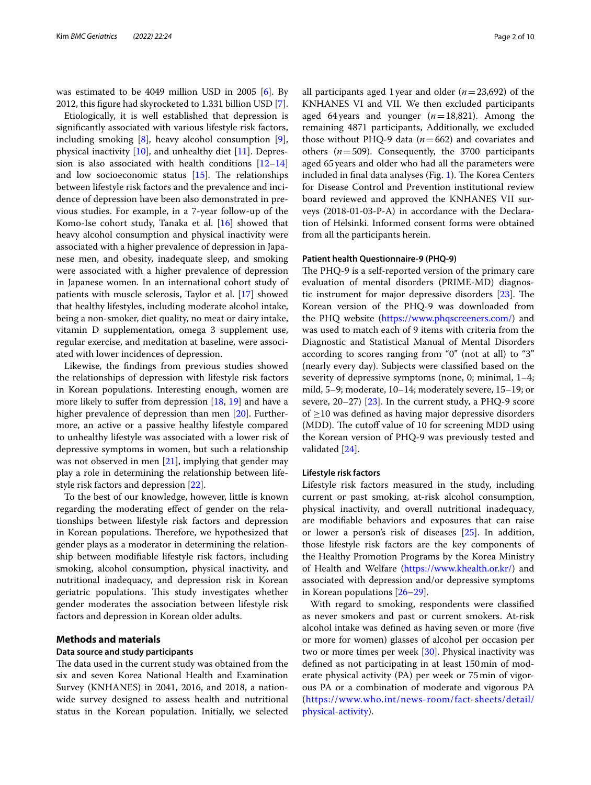was estimated to be 4049 million USD in 2005 [[6\]](#page-8-5). By 2012, this fgure had skyrocketed to 1.331 billion USD [\[7](#page-8-6)].

Etiologically, it is well established that depression is signifcantly associated with various lifestyle risk factors, including smoking [\[8\]](#page-8-7), heavy alcohol consumption [\[9](#page-8-8)], physical inactivity [\[10\]](#page-8-9), and unhealthy diet [\[11](#page-8-10)]. Depression is also associated with health conditions [[12–](#page-8-11)[14](#page-8-12)] and low socioeconomic status  $[15]$  $[15]$  $[15]$ . The relationships between lifestyle risk factors and the prevalence and incidence of depression have been also demonstrated in previous studies. For example, in a 7-year follow-up of the Komo-Ise cohort study, Tanaka et al. [\[16\]](#page-8-14) showed that heavy alcohol consumption and physical inactivity were associated with a higher prevalence of depression in Japanese men, and obesity, inadequate sleep, and smoking were associated with a higher prevalence of depression in Japanese women. In an international cohort study of patients with muscle sclerosis, Taylor et al. [\[17\]](#page-8-15) showed that healthy lifestyles, including moderate alcohol intake, being a non-smoker, diet quality, no meat or dairy intake, vitamin D supplementation, omega 3 supplement use, regular exercise, and meditation at baseline, were associated with lower incidences of depression.

Likewise, the fndings from previous studies showed the relationships of depression with lifestyle risk factors in Korean populations. Interesting enough, women are more likely to suffer from depression [[18](#page-8-16), [19](#page-8-17)] and have a higher prevalence of depression than men [[20\]](#page-8-18). Furthermore, an active or a passive healthy lifestyle compared to unhealthy lifestyle was associated with a lower risk of depressive symptoms in women, but such a relationship was not observed in men [[21\]](#page-8-19), implying that gender may play a role in determining the relationship between lifestyle risk factors and depression [\[22](#page-8-20)].

To the best of our knowledge, however, little is known regarding the moderating efect of gender on the relationships between lifestyle risk factors and depression in Korean populations. Therefore, we hypothesized that gender plays as a moderator in determining the relationship between modifable lifestyle risk factors, including smoking, alcohol consumption, physical inactivity, and nutritional inadequacy, and depression risk in Korean geriatric populations. This study investigates whether gender moderates the association between lifestyle risk factors and depression in Korean older adults.

# **Methods and materials**

# **Data source and study participants**

The data used in the current study was obtained from the six and seven Korea National Health and Examination Survey (KNHANES) in 2041, 2016, and 2018, a nationwide survey designed to assess health and nutritional status in the Korean population. Initially, we selected all participants aged 1year and older (*n*=23,692) of the KNHANES VI and VII. We then excluded participants aged 64years and younger (*n*=18,821). Among the remaining 4871 participants, Additionally, we excluded those without PHQ-9 data (*n*=662) and covariates and others (*n*=509). Consequently, the 3700 participants aged 65years and older who had all the parameters were included in final data analyses (Fig.  $1$ ). The Korea Centers for Disease Control and Prevention institutional review board reviewed and approved the KNHANES VII surveys (2018-01-03-P-A) in accordance with the Declaration of Helsinki. Informed consent forms were obtained from all the participants herein.

# **Patient health Questionnaire‑9 (PHQ‑9)**

The PHQ-9 is a self-reported version of the primary care evaluation of mental disorders (PRIME-MD) diagnostic instrument for major depressive disorders  $[23]$  $[23]$ . The Korean version of the PHQ-9 was downloaded from the PHQ website (<https://www.phqscreeners.com/>) and was used to match each of 9 items with criteria from the Diagnostic and Statistical Manual of Mental Disorders according to scores ranging from "0" (not at all) to "3" (nearly every day). Subjects were classifed based on the severity of depressive symptoms (none, 0; minimal, 1–4; mild, 5–9; moderate, 10–14; moderately severe, 15–19; or severe, 20–27) [[23\]](#page-8-21). In the current study, a PHQ-9 score of  $\geq$ 10 was defined as having major depressive disorders (MDD). The cutoff value of 10 for screening MDD using the Korean version of PHQ-9 was previously tested and validated [\[24](#page-8-22)].

#### **Lifestyle risk factors**

Lifestyle risk factors measured in the study, including current or past smoking, at-risk alcohol consumption, physical inactivity, and overall nutritional inadequacy, are modifable behaviors and exposures that can raise or lower a person's risk of diseases [\[25](#page-8-23)]. In addition, those lifestyle risk factors are the key components of the Healthy Promotion Programs by the Korea Ministry of Health and Welfare [\(https://www.khealth.or.kr/](https://www.khealth.or.kr/)) and associated with depression and/or depressive symptoms in Korean populations [\[26–](#page-8-24)[29\]](#page-8-25).

With regard to smoking, respondents were classifed as never smokers and past or current smokers. At-risk alcohol intake was defned as having seven or more (fve or more for women) glasses of alcohol per occasion per two or more times per week [[30\]](#page-8-26). Physical inactivity was defned as not participating in at least 150min of moderate physical activity (PA) per week or 75min of vigorous PA or a combination of moderate and vigorous PA ([https://www.who.int/news-room/fact-sheets/detail/](https://www.who.int/news-room/fact-sheets/detail/physical-activity) [physical-activity](https://www.who.int/news-room/fact-sheets/detail/physical-activity)).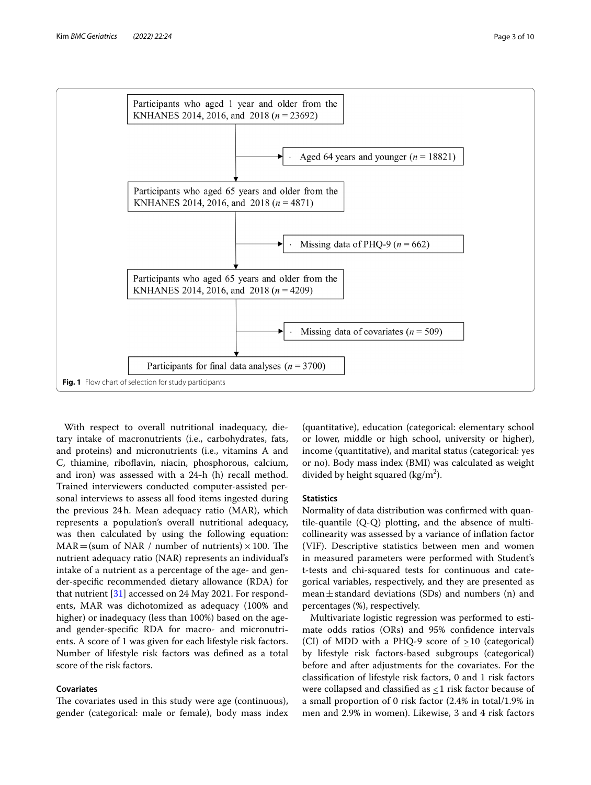

<span id="page-2-0"></span>With respect to overall nutritional inadequacy, dietary intake of macronutrients (i.e., carbohydrates, fats, and proteins) and micronutrients (i.e., vitamins A and C, thiamine, riboflavin, niacin, phosphorous, calcium, and iron) was assessed with a 24-h (h) recall method. Trained interviewers conducted computer-assisted personal interviews to assess all food items ingested during the previous 24h. Mean adequacy ratio (MAR), which represents a population's overall nutritional adequacy, was then calculated by using the following equation:  $MAR = (sum of NAR / number of nutrients) \times 100$ . The nutrient adequacy ratio (NAR) represents an individual's intake of a nutrient as a percentage of the age- and gender-specifc recommended dietary allowance (RDA) for that nutrient [\[31](#page-8-27)] accessed on 24 May 2021. For respondents, MAR was dichotomized as adequacy (100% and higher) or inadequacy (less than 100%) based on the ageand gender-specifc RDA for macro- and micronutrients. A score of 1 was given for each lifestyle risk factors. Number of lifestyle risk factors was defned as a total score of the risk factors.

# **Covariates**

The covariates used in this study were age (continuous), gender (categorical: male or female), body mass index

(quantitative), education (categorical: elementary school or lower, middle or high school, university or higher), income (quantitative), and marital status (categorical: yes or no). Body mass index (BMI) was calculated as weight divided by height squared ( $\text{kg/m}^2$ ).

#### **Statistics**

Normality of data distribution was confrmed with quantile-quantile (Q-Q) plotting, and the absence of multicollinearity was assessed by a variance of infation factor (VIF). Descriptive statistics between men and women in measured parameters were performed with Student's t-tests and chi-squared tests for continuous and categorical variables, respectively, and they are presented as mean $\pm$ standard deviations (SDs) and numbers (n) and percentages (%), respectively.

Multivariate logistic regression was performed to estimate odds ratios (ORs) and 95% confdence intervals (CI) of MDD with a PHQ-9 score of  $\geq 10$  (categorical) by lifestyle risk factors-based subgroups (categorical) before and after adjustments for the covariates. For the classifcation of lifestyle risk factors, 0 and 1 risk factors were collapsed and classified as  $\leq$  1 risk factor because of a small proportion of 0 risk factor (2.4% in total/1.9% in men and 2.9% in women). Likewise, 3 and 4 risk factors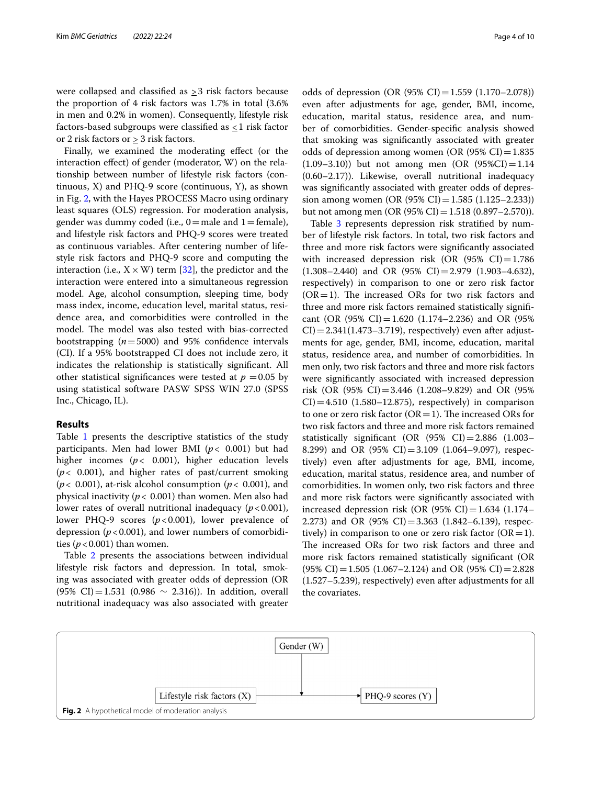were collapsed and classified as  $\geq$ 3 risk factors because the proportion of 4 risk factors was 1.7% in total (3.6% in men and 0.2% in women). Consequently, lifestyle risk factors-based subgroups were classified as  $\leq 1$  risk factor or 2 risk factors or  $\geq 3$  risk factors.

Finally, we examined the moderating efect (or the interaction efect) of gender (moderator, W) on the relationship between number of lifestyle risk factors (continuous,  $X$ ) and PHQ-9 score (continuous,  $Y$ ), as shown in Fig. [2](#page-3-0), with the Hayes PROCESS Macro using ordinary least squares (OLS) regression. For moderation analysis, gender was dummy coded (i.e.,  $0$  = male and  $1$  = female), and lifestyle risk factors and PHQ-9 scores were treated as continuous variables. After centering number of lifestyle risk factors and PHQ-9 score and computing the interaction (i.e.,  $X \times W$ ) term [[32\]](#page-8-28), the predictor and the interaction were entered into a simultaneous regression model. Age, alcohol consumption, sleeping time, body mass index, income, education level, marital status, residence area, and comorbidities were controlled in the model. The model was also tested with bias-corrected bootstrapping  $(n=5000)$  and 95% confidence intervals (CI). If a 95% bootstrapped CI does not include zero, it indicates the relationship is statistically signifcant. All other statistical significances were tested at  $p = 0.05$  by using statistical software PASW SPSS WIN 27.0 (SPSS Inc., Chicago, IL).

# **Results**

Table [1](#page-4-0) presents the descriptive statistics of the study participants. Men had lower BMI (*p*< 0.001) but had higher incomes  $(p < 0.001)$ , higher education levels (*p*< 0.001), and higher rates of past/current smoking (*p*< 0.001), at-risk alcohol consumption (*p*< 0.001), and physical inactivity (*p*< 0.001) than women. Men also had lower rates of overall nutritional inadequacy  $(p < 0.001)$ , lower PHQ-9 scores ( $p < 0.001$ ), lower prevalence of depression ( $p < 0.001$ ), and lower numbers of comorbidities ( $p < 0.001$ ) than women.

Table [2](#page-5-0) presents the associations between individual lifestyle risk factors and depression. In total, smoking was associated with greater odds of depression (OR (95% CI)=1.531 (0.986  $\sim$  2.316)). In addition, overall nutritional inadequacy was also associated with greater

odds of depression (OR  $(95\% \text{ CI}) = 1.559 \ (1.170 - 2.078))$ even after adjustments for age, gender, BMI, income, education, marital status, residence area, and number of comorbidities. Gender-specifc analysis showed that smoking was signifcantly associated with greater odds of depression among women (OR  $(95\% \text{ CI}) = 1.835$  $(1.09-3.10)$  but not among men  $(OR (95\%CI)=1.14$ (0.60–2.17)). Likewise, overall nutritional inadequacy was signifcantly associated with greater odds of depression among women (OR  $(95\% \text{ CI}) = 1.585 \ (1.125 - 2.233)$ ) but not among men (OR  $(95\% \text{ CI}) = 1.518 (0.897 - 2.570)$ ).

Table [3](#page-5-1) represents depression risk stratified by number of lifestyle risk factors. In total, two risk factors and three and more risk factors were signifcantly associated with increased depression risk (OR  $(95\% \text{ CI}) = 1.786$  $(1.308-2.440)$  and OR  $(95\% \text{ CI}) = 2.979 \ (1.903-4.632)$ , respectively) in comparison to one or zero risk factor  $(OR=1)$ . The increased ORs for two risk factors and three and more risk factors remained statistically signifcant (OR (95% CI) = 1.620 (1.174–2.236) and OR (95%  $CI$ )=2.341(1.473–3.719), respectively) even after adjustments for age, gender, BMI, income, education, marital status, residence area, and number of comorbidities. In men only, two risk factors and three and more risk factors were signifcantly associated with increased depression risk (OR (95% CI) = 3.446 (1.208–9.829) and OR (95%  $CI$ )=4.510 (1.580–12.875), respectively) in comparison to one or zero risk factor ( $OR=1$ ). The increased ORs for two risk factors and three and more risk factors remained statistically signifcant (OR (95% CI)=2.886 (1.003– 8.299) and OR (95% CI)=3.109 (1.064–9.097), respectively) even after adjustments for age, BMI, income, education, marital status, residence area, and number of comorbidities. In women only, two risk factors and three and more risk factors were signifcantly associated with increased depression risk (OR  $(95\% \text{ CI}) = 1.634 \text{ (}1.174 -$ 2.273) and OR  $(95\% \text{ CI}) = 3.363 \text{ (}1.842 - 6.139\text{),}$  respectively) in comparison to one or zero risk factor  $(OR=1)$ . The increased ORs for two risk factors and three and more risk factors remained statistically signifcant (OR  $(95\% \text{ CI}) = 1.505 \ (1.067 - 2.124)$  and OR  $(95\% \text{ CI}) = 2.828$ (1.527–5.239), respectively) even after adjustments for all the covariates.

<span id="page-3-0"></span>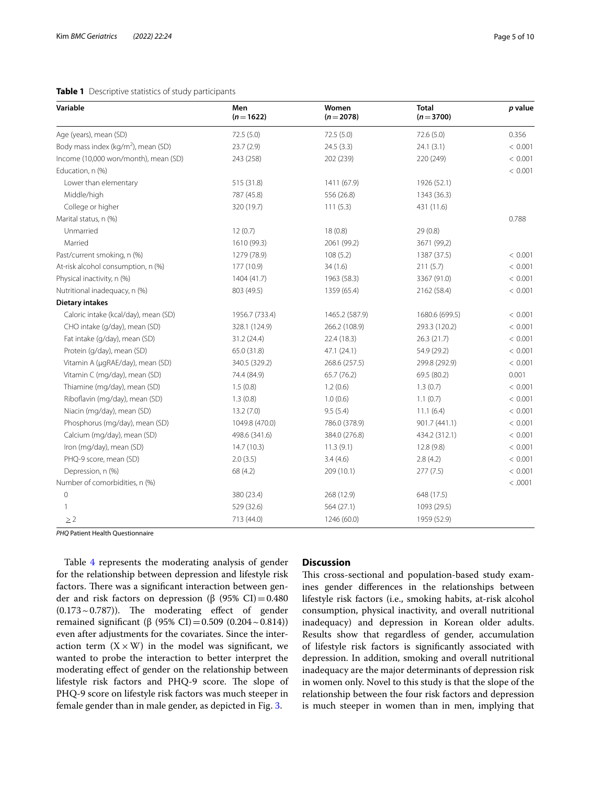# <span id="page-4-0"></span>**Table 1** Descriptive statistics of study participants

| Variable                                        | Men<br>$(n=1622)$ | Women<br>$(n=2078)$ | <b>Total</b><br>$(n=3700)$ | p value |
|-------------------------------------------------|-------------------|---------------------|----------------------------|---------|
| Age (years), mean (SD)                          | 72.5 (5.0)        | 72.5(5.0)           | 72.6 (5.0)                 | 0.356   |
| Body mass index (kg/m <sup>2</sup> ), mean (SD) | 23.7(2.9)         | 24.5(3.3)           | 24.1(3.1)                  | < 0.001 |
| Income (10,000 won/month), mean (SD)            | 243 (258)         | 202 (239)           | 220 (249)                  | < 0.001 |
| Education, n (%)                                |                   |                     |                            | < 0.001 |
| Lower than elementary                           | 515 (31.8)        | 1411 (67.9)         | 1926 (52.1)                |         |
| Middle/high                                     | 787 (45.8)        | 556 (26.8)          | 1343 (36.3)                |         |
| College or higher                               | 320 (19.7)        | 111(5.3)            | 431 (11.6)                 |         |
| Marital status, n (%)                           |                   |                     |                            | 0.788   |
| Unmarried                                       | 12(0.7)           | 18(0.8)             | 29(0.8)                    |         |
| Married                                         | 1610 (99.3)       | 2061 (99.2)         | 3671 (99,2)                |         |
| Past/current smoking, n (%)                     | 1279 (78.9)       | 108(5.2)            | 1387 (37.5)                | < 0.001 |
| At-risk alcohol consumption, n (%)              | 177 (10.9)        | 34(1.6)             | 211(5.7)                   | < 0.001 |
| Physical inactivity, n (%)                      | 1404 (41.7)       | 1963 (58.3)         | 3367 (91.0)                | < 0.001 |
| Nutritional inadequacy, n (%)                   | 803 (49.5)        | 1359 (65.4)         | 2162 (58.4)                | < 0.001 |
| <b>Dietary intakes</b>                          |                   |                     |                            |         |
| Caloric intake (kcal/day), mean (SD)            | 1956.7 (733.4)    | 1465.2 (587.9)      | 1680.6 (699.5)             | < 0.001 |
| CHO intake (g/day), mean (SD)                   | 328.1 (124.9)     | 266.2 (108.9)       | 293.3 (120.2)              | < 0.001 |
| Fat intake (g/day), mean (SD)                   | 31.2 (24.4)       | 22.4 (18.3)         | 26.3(21.7)                 | < 0.001 |
| Protein (g/day), mean (SD)                      | 65.0 (31.8)       | 47.1 (24.1)         | 54.9 (29.2)                | < 0.001 |
| Vitamin A (µgRAE/day), mean (SD)                | 340.5 (329.2)     | 268.6 (257.5)       | 299.8 (292.9)              | < 0.001 |
| Vitamin C (mg/day), mean (SD)                   | 74.4 (84.9)       | 65.7 (76.2)         | 69.5 (80.2)                | 0.001   |
| Thiamine (mg/day), mean (SD)                    | 1.5(0.8)          | 1.2(0.6)            | 1.3(0.7)                   | < 0.001 |
| Riboflavin (mg/day), mean (SD)                  | 1.3(0.8)          | 1.0(0.6)            | 1.1(0.7)                   | < 0.001 |
| Niacin (mg/day), mean (SD)                      | 13.2(7.0)         | 9.5(5.4)            | 11.1(6.4)                  | < 0.001 |
| Phosphorus (mg/day), mean (SD)                  | 1049.8 (470.0)    | 786.0 (378.9)       | 901.7 (441.1)              | < 0.001 |
| Calcium (mg/day), mean (SD)                     | 498.6 (341.6)     | 384.0 (276.8)       | 434.2 (312.1)              | < 0.001 |
| Iron (mg/day), mean (SD)                        | 14.7(10.3)        | 11.3(9.1)           | 12.8(9.8)                  | < 0.001 |
| PHQ-9 score, mean (SD)                          | 2.0(3.5)          | 3.4(4.6)            | 2.8(4.2)                   | < 0.001 |
| Depression, n (%)                               | 68 (4.2)          | 209 (10.1)          | 277(7.5)                   | < 0.001 |
| Number of comorbidities, n (%)                  |                   |                     |                            | < .0001 |
| $\mathbf 0$                                     | 380 (23.4)        | 268 (12.9)          | 648 (17.5)                 |         |
| 1                                               | 529 (32.6)        | 564 (27.1)          | 1093 (29.5)                |         |
| $\geq 2$                                        | 713 (44.0)        | 1246 (60.0)         | 1959 (52.9)                |         |

*PHQ* Patient Health Questionnaire

Table [4](#page-6-0) represents the moderating analysis of gender for the relationship between depression and lifestyle risk factors. There was a significant interaction between gender and risk factors on depression (β (95% CI)=0.480  $(0.173 \sim 0.787)$ ). The moderating effect of gender remained significant (β (95% CI) = 0.509 (0.204 ~ 0.814)) even after adjustments for the covariates. Since the interaction term  $(X \times W)$  in the model was significant, we wanted to probe the interaction to better interpret the moderating efect of gender on the relationship between lifestyle risk factors and PHQ-9 score. The slope of PHQ-9 score on lifestyle risk factors was much steeper in female gender than in male gender, as depicted in Fig. [3](#page-6-1).

### **Discussion**

This cross-sectional and population-based study examines gender diferences in the relationships between lifestyle risk factors (i.e., smoking habits, at-risk alcohol consumption, physical inactivity, and overall nutritional inadequacy) and depression in Korean older adults. Results show that regardless of gender, accumulation of lifestyle risk factors is signifcantly associated with depression. In addition, smoking and overall nutritional inadequacy are the major determinants of depression risk in women only. Novel to this study is that the slope of the relationship between the four risk factors and depression is much steeper in women than in men, implying that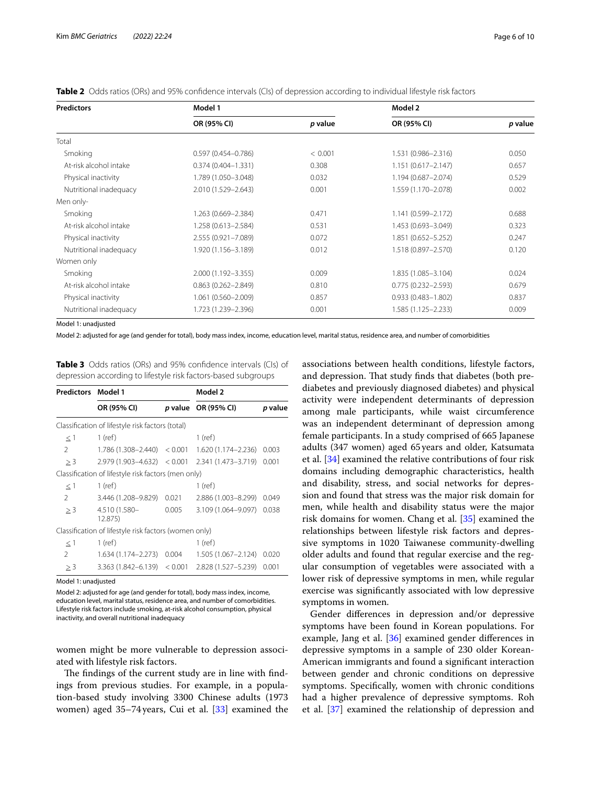| <b>Predictors</b>              | Model 1                |                                | Model 2                |         |  |
|--------------------------------|------------------------|--------------------------------|------------------------|---------|--|
|                                | OR (95% CI)            | p value                        | OR (95% CI)            | p value |  |
| Total                          |                        |                                |                        |         |  |
| Smoking                        | $0.597(0.454 - 0.786)$ | < 0.001<br>1.531 (0.986-2.316) |                        | 0.050   |  |
| At-risk alcohol intake         | $0.374(0.404 - 1.331)$ | 0.308                          | $1.151(0.617 - 2.147)$ |         |  |
| Physical inactivity            | 1.789 (1.050-3.048)    | 0.032                          | 1.194 (0.687-2.074)    | 0.529   |  |
| Nutritional inadequacy         | 2.010 (1.529-2.643)    | 0.001                          | 1.559 (1.170-2.078)    | 0.002   |  |
| Men only-                      |                        |                                |                        |         |  |
| Smoking                        | 1.263 (0.669-2.384)    | 0.471                          | 1.141 (0.599-2.172)    | 0.688   |  |
| At-risk alcohol intake         | 1.258 (0.613-2.584)    |                                | 1.453 (0.693-3.049)    | 0.323   |  |
| Physical inactivity            | 2.555 (0.921-7.089)    | 0.072<br>1.851 (0.652-5.252)   |                        | 0.247   |  |
| Nutritional inadequacy         | 1.920 (1.156-3.189)    | 0.012                          | 1.518 (0.897-2.570)    | 0.120   |  |
| Women only                     |                        |                                |                        |         |  |
| Smoking<br>2.000 (1.192-3.355) |                        | 0.009                          | 1.835 (1.085-3.104)    | 0.024   |  |
| At-risk alcohol intake         | $0.863(0.262 - 2.849)$ |                                | $0.775(0.232 - 2.593)$ | 0.679   |  |
| Physical inactivity            | 1.061 (0.560-2.009)    |                                | $0.933(0.483 - 1.802)$ | 0.837   |  |
| Nutritional inadequacy         | 1.723 (1.239-2.396)    |                                | 1.585 (1.125 - 2.233)  | 0.009   |  |

<span id="page-5-0"></span>**Table 2** Odds ratios (ORs) and 95% confdence intervals (CIs) of depression according to individual lifestyle risk factors

Model 1: unadjusted

Model 2: adjusted for age (and gender for total), body mass index, income, education level, marital status, residence area, and number of comorbidities

<span id="page-5-1"></span>**Table 3** Odds ratios (ORs) and 95% confdence intervals (CIs) of depression according to lifestyle risk factors-based subgroups

| <b>Predictors Model 1</b> |                                                       |       | Model 2                    |         |  |
|---------------------------|-------------------------------------------------------|-------|----------------------------|---------|--|
|                           | OR (95% CI)                                           |       | <i>p</i> value OR (95% CI) | p value |  |
|                           | Classification of lifestyle risk factors (total)      |       |                            |         |  |
| $\leq$ 1                  | $1$ (ref)                                             |       | $1$ (ref)                  |         |  |
| 2                         | $1.786(1.308 - 2.440) < 0.001$                        |       | 1.620 (1.174-2.236)        | 0.003   |  |
| > 3                       | $2.979(1.903 - 4.632) < 0.001$                        |       | 2.341 (1.473-3.719)        | 0.001   |  |
|                           | Classification of lifestyle risk factors (men only)   |       |                            |         |  |
| $\leq$ 1                  | $1$ (ref)                                             |       | $1$ (ref)                  |         |  |
| $\mathcal{P}$             | 3.446 (1.208-9.829)                                   | 0.021 | 2.886 (1.003-8.299)        | 0.049   |  |
| > 3                       | 4.510 (1.580-<br>12.875)                              | 0.005 | 3.109 (1.064-9.097)        | 0.038   |  |
|                           | Classification of lifestyle risk factors (women only) |       |                            |         |  |
| $\leq$ 1                  | $1$ (ref)                                             |       | $1$ (ref)                  |         |  |
| $\mathcal{L}$             | 1.634 (1.174–2.273)                                   | 0.004 | $1.505(1.067 - 2.124)$     | 0.020   |  |
| $\geq$ 3                  | $3.363(1.842 - 6.139) < 0.001$                        |       | 2.828 (1.527-5.239)        | 0.001   |  |
|                           |                                                       |       |                            |         |  |

Model 1: unadjusted

Model 2: adjusted for age (and gender for total), body mass index, income, education level, marital status, residence area, and number of comorbidities. Lifestyle risk factors include smoking, at-risk alcohol consumption, physical inactivity, and overall nutritional inadequacy

women might be more vulnerable to depression associated with lifestyle risk factors.

The findings of the current study are in line with findings from previous studies. For example, in a population-based study involving 3300 Chinese adults (1973 women) aged 35–74years, Cui et al. [\[33\]](#page-8-29) examined the associations between health conditions, lifestyle factors, and depression. That study finds that diabetes (both prediabetes and previously diagnosed diabetes) and physical activity were independent determinants of depression among male participants, while waist circumference was an independent determinant of depression among female participants. In a study comprised of 665 Japanese adults (347 women) aged 65 years and older, Katsumata et al. [[34\]](#page-8-30) examined the relative contributions of four risk domains including demographic characteristics, health and disability, stress, and social networks for depression and found that stress was the major risk domain for men, while health and disability status were the major risk domains for women. Chang et al. [[35\]](#page-8-31) examined the relationships between lifestyle risk factors and depressive symptoms in 1020 Taiwanese community-dwelling older adults and found that regular exercise and the regular consumption of vegetables were associated with a lower risk of depressive symptoms in men, while regular exercise was signifcantly associated with low depressive symptoms in women.

Gender diferences in depression and/or depressive symptoms have been found in Korean populations. For example, Jang et al. [\[36\]](#page-8-32) examined gender diferences in depressive symptoms in a sample of 230 older Korean-American immigrants and found a signifcant interaction between gender and chronic conditions on depressive symptoms. Specifcally, women with chronic conditions had a higher prevalence of depressive symptoms. Roh et al. [[37\]](#page-8-33) examined the relationship of depression and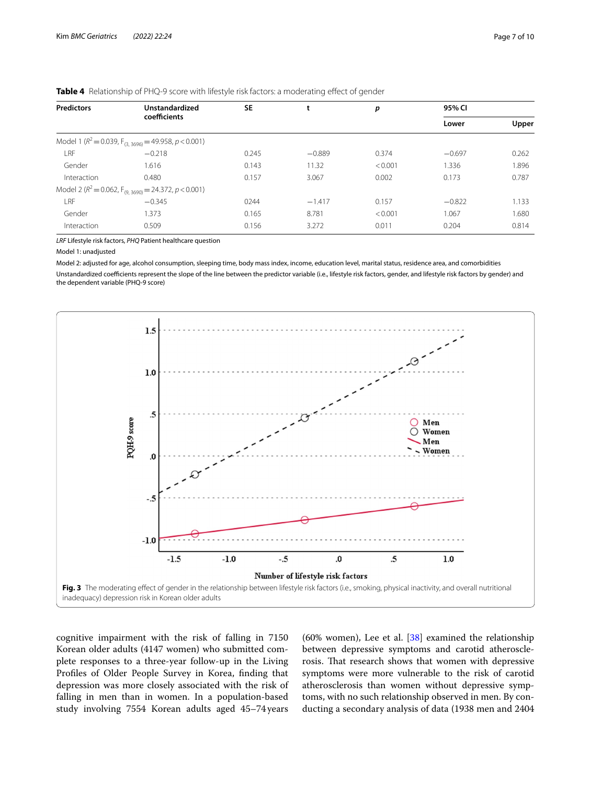| <b>Predictors</b> | Unstandardized<br>coefficients                                       | <b>SE</b> | L        | р       | 95% CI   |       |
|-------------------|----------------------------------------------------------------------|-----------|----------|---------|----------|-------|
|                   |                                                                      |           |          |         | Lower    | Upper |
|                   | Model 1 ( $R^2$ = 0.039, F <sub>(3, 3696)</sub> = 49.958, p < 0.001) |           |          |         |          |       |
| LRF               | $-0.218$                                                             | 0.245     | $-0.889$ | 0.374   | $-0.697$ | 0.262 |
| Gender            | 1.616                                                                | 0.143     | 11.32    | < 0.001 | 1.336    | 1.896 |
| Interaction       | 0.480                                                                | 0.157     | 3.067    | 0.002   | 0.173    | 0.787 |
|                   | Model 2 ( $R^2$ = 0.062, F <sub>(9.3690)</sub> = 24.372, p < 0.001)  |           |          |         |          |       |
| LRF               | $-0.345$                                                             | 0244      | $-1.417$ | 0.157   | $-0.822$ | 1.133 |
| Gender            | 1.373                                                                | 0.165     | 8.781    | < 0.001 | 1.067    | 1.680 |
| Interaction       | 0.509                                                                | 0.156     | 3.272    | 0.011   | 0.204    | 0.814 |

<span id="page-6-0"></span>**Table 4** Relationship of PHQ-9 score with lifestyle risk factors: a moderating effect of gender

*LRF* Lifestyle risk factors, *PHQ* Patient healthcare question

#### Model 1: unadjusted

Model 2: adjusted for age, alcohol consumption, sleeping time, body mass index, income, education level, marital status, residence area, and comorbidities Unstandardized coefficients represent the slope of the line between the predictor variable (i.e., lifestyle risk factors, gender, and lifestyle risk factors by gender) and the dependent variable (PHQ-9 score)



<span id="page-6-1"></span>cognitive impairment with the risk of falling in 7150 Korean older adults (4147 women) who submitted complete responses to a three-year follow-up in the Living Profles of Older People Survey in Korea, fnding that depression was more closely associated with the risk of falling in men than in women. In a population-based study involving 7554 Korean adults aged 45–74 years

(60% women), Lee et al.  $[38]$  $[38]$  examined the relationship between depressive symptoms and carotid atherosclerosis. That research shows that women with depressive symptoms were more vulnerable to the risk of carotid atherosclerosis than women without depressive symptoms, with no such relationship observed in men. By conducting a secondary analysis of data (1938 men and 2404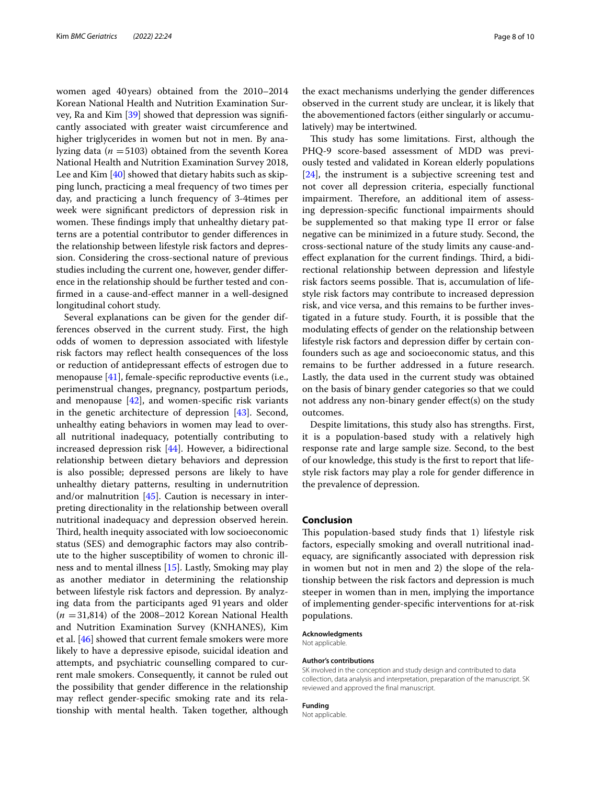women aged 40years) obtained from the 2010–2014 Korean National Health and Nutrition Examination Survey, Ra and Kim [\[39](#page-9-0)] showed that depression was signifcantly associated with greater waist circumference and higher triglycerides in women but not in men. By analyzing data ( $n = 5103$ ) obtained from the seventh Korea National Health and Nutrition Examination Survey 2018, Lee and Kim [[40\]](#page-9-1) showed that dietary habits such as skipping lunch, practicing a meal frequency of two times per day, and practicing a lunch frequency of 3-4times per week were signifcant predictors of depression risk in women. These findings imply that unhealthy dietary patterns are a potential contributor to gender diferences in the relationship between lifestyle risk factors and depression. Considering the cross-sectional nature of previous studies including the current one, however, gender diference in the relationship should be further tested and confrmed in a cause-and-efect manner in a well-designed longitudinal cohort study.

Several explanations can be given for the gender differences observed in the current study. First, the high odds of women to depression associated with lifestyle risk factors may refect health consequences of the loss or reduction of antidepressant efects of estrogen due to menopause [[41\]](#page-9-2), female-specific reproductive events (i.e., perimenstrual changes, pregnancy, postpartum periods, and menopause [\[42](#page-9-3)], and women-specifc risk variants in the genetic architecture of depression [[43](#page-9-4)]. Second, unhealthy eating behaviors in women may lead to overall nutritional inadequacy, potentially contributing to increased depression risk [\[44](#page-9-5)]. However, a bidirectional relationship between dietary behaviors and depression is also possible; depressed persons are likely to have unhealthy dietary patterns, resulting in undernutrition and/or malnutrition [\[45\]](#page-9-6). Caution is necessary in interpreting directionality in the relationship between overall nutritional inadequacy and depression observed herein. Third, health inequity associated with low socioeconomic status (SES) and demographic factors may also contribute to the higher susceptibility of women to chronic illness and to mental illness [\[15](#page-8-13)]. Lastly, Smoking may play as another mediator in determining the relationship between lifestyle risk factors and depression. By analyzing data from the participants aged 91years and older (*n* =31,814) of the 2008–2012 Korean National Health and Nutrition Examination Survey (KNHANES), Kim et al. [[46](#page-9-7)] showed that current female smokers were more likely to have a depressive episode, suicidal ideation and attempts, and psychiatric counselling compared to current male smokers. Consequently, it cannot be ruled out the possibility that gender diference in the relationship may refect gender-specifc smoking rate and its relationship with mental health. Taken together, although the exact mechanisms underlying the gender diferences observed in the current study are unclear, it is likely that the abovementioned factors (either singularly or accumulatively) may be intertwined.

This study has some limitations. First, although the PHQ-9 score-based assessment of MDD was previously tested and validated in Korean elderly populations [[24\]](#page-8-22), the instrument is a subjective screening test and not cover all depression criteria, especially functional impairment. Therefore, an additional item of assessing depression-specifc functional impairments should be supplemented so that making type II error or false negative can be minimized in a future study. Second, the cross-sectional nature of the study limits any cause-andeffect explanation for the current findings. Third, a bidirectional relationship between depression and lifestyle risk factors seems possible. That is, accumulation of lifestyle risk factors may contribute to increased depression risk, and vice versa, and this remains to be further investigated in a future study. Fourth, it is possible that the modulating efects of gender on the relationship between lifestyle risk factors and depression difer by certain confounders such as age and socioeconomic status, and this remains to be further addressed in a future research. Lastly, the data used in the current study was obtained on the basis of binary gender categories so that we could not address any non-binary gender efect(s) on the study outcomes.

Despite limitations, this study also has strengths. First, it is a population-based study with a relatively high response rate and large sample size. Second, to the best of our knowledge, this study is the frst to report that lifestyle risk factors may play a role for gender diference in the prevalence of depression.

#### **Conclusion**

This population-based study finds that 1) lifestyle risk factors, especially smoking and overall nutritional inadequacy, are signifcantly associated with depression risk in women but not in men and 2) the slope of the relationship between the risk factors and depression is much steeper in women than in men, implying the importance of implementing gender-specifc interventions for at-risk populations.

#### **Acknowledgments**

Not applicable.

#### **Author's contributions**

SK involved in the conception and study design and contributed to data collection, data analysis and interpretation, preparation of the manuscript. SK reviewed and approved the fnal manuscript.

#### **Funding**

Not applicable.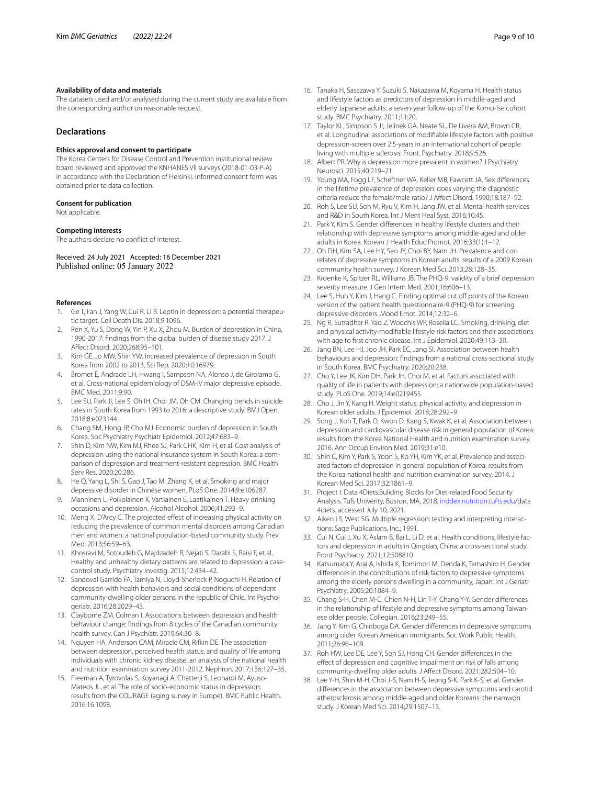#### **Availability of data and materials**

The datasets used and/or analysed during the current study are available from the corresponding author on reasonable request.

# **Declarations**

#### **Ethics approval and consent to participate**

The Korea Centers for Disease Control and Prevention institutional review board reviewed and approved the KNHANES VII surveys (2018-01-03-P-A) in accordance with the Declaration of Helsinki. Informed consent form was obtained prior to data collection.

#### **Consent for publication**

Not applicable.

#### **Competing interests**

The authors declare no confict of interest.

Received: 24 July 2021 Accepted: 16 December 2021 Published online: 05 January 2022

#### **References**

- <span id="page-8-0"></span>Ge T, Fan J, Yang W, Cui R, Li B. Leptin in depression: a potential therapeutic target. Cell Death Dis. 2018;9:1096.
- <span id="page-8-1"></span>Ren X, Yu S, Dong W, Yin P, Xu X, Zhou M. Burden of depression in China, 1990-2017: fndings from the global burden of disease study 2017. J Afect Disord. 2020;268:95–101.
- <span id="page-8-2"></span>3. Kim GE, Jo MW, Shin YW. Increased prevalence of depression in South Korea from 2002 to 2013. Sci Rep. 2020;10:16979.
- <span id="page-8-3"></span>4. Bromet E, Andrade LH, Hwang I, Sampson NA, Alonso J, de Girolamo G, et al. Cross-national epidemiology of DSM-IV major depressive episode. BMC Med. 2011;9:90.
- <span id="page-8-4"></span>5. Lee SU, Park JI, Lee S, Oh IH, Choi JM, Oh CM. Changing trends in suicide rates in South Korea from 1993 to 2016: a descriptive study. BMJ Open. 2018;8:e023144.
- <span id="page-8-5"></span>6. Chang SM, Hong JP, Cho MJ. Economic burden of depression in South Korea. Soc Psychiatry Psychiatr Epidemiol. 2012;47:683–9.
- <span id="page-8-6"></span>7. Shin D, Kim NW, Kim MJ, Rhee SJ, Park CHK, Kim H, et al. Cost analysis of depression using the national insurance system in South Korea: a comparison of depression and treatment-resistant depression. BMC Health Serv Res. 2020;20:286.
- <span id="page-8-7"></span>8. He Q, Yang L, Shi S, Gao J, Tao M, Zhang K, et al. Smoking and major depressive disorder in Chinese women. PLoS One. 2014;9:e106287.
- <span id="page-8-8"></span>9. Manninen L, Poikolainen K, Vartiainen E, Laatikainen T. Heavy drinking occasions and depression. Alcohol Alcohol. 2006;41:293–9.
- <span id="page-8-9"></span>10. Meng X, D'Arcy C. The projected efect of increasing physical activity on reducing the prevalence of common mental disorders among Canadian men and women: a national population-based community study. Prev Med. 2013;56:59–63.
- <span id="page-8-10"></span>11. Khosravi M, Sotoudeh G, Majdzadeh R, Nejati S, Darabi S, Raisi F, et al. Healthy and unhealthy dietary patterns are related to depression: a casecontrol study. Psychiatry Investig. 2015;12:434–42.
- <span id="page-8-11"></span>12. Sandoval Garrido FA, Tamiya N, Lloyd-Sherlock P, Noguchi H. Relation of depression with health behaviors and social conditions of dependent community-dwelling older persons in the republic of Chile. Int Psychogeriatr. 2016;28:2029–43.
- 13. Clayborne ZM, Colman I. Associations between depression and health behaviour change: fndings from 8 cycles of the Canadian community health survey. Can J Psychiatr. 2019;64:30–8.
- <span id="page-8-12"></span>14. Nguyen HA, Anderson CAM, Miracle CM, Rifkin DE. The association between depression, perceived health status, and quality of life among individuals with chronic kidney disease: an analysis of the national health and nutrition examination survey 2011-2012. Nephron. 2017;136:127–35.
- <span id="page-8-13"></span>15. Freeman A, Tyrovolas S, Koyanagi A, Chatterji S, Leonardi M, Ayuso-Mateos JL, et al. The role of socio-economic status in depression: results from the COURAGE (aging survey in Europe). BMC Public Health. 2016;16:1098.
- <span id="page-8-14"></span>16. Tanaka H, Sasazawa Y, Suzuki S, Nakazawa M, Koyama H. Health status and lifestyle factors as predictors of depression in middle-aged and elderly Japanese adults: a seven-year follow-up of the Komo-Ise cohort study. BMC Psychiatry. 2011;11:20.
- <span id="page-8-15"></span>17. Taylor KL, Simpson S Jr, Jelinek GA, Neate SL, De Livera AM, Brown CR, et al. Longitudinal associations of modifable lifestyle factors with positive depression-screen over 2.5-years in an international cohort of people living with multiple sclerosis. Front. Psychiatry. 2018;9:526.
- <span id="page-8-16"></span>18. Albert PR. Why is depression more prevalent in women? J Psychiatry Neurosci. 2015;40:219–21.
- <span id="page-8-17"></span>19. Young MA, Fogg LF, Scheftner WA, Keller MB, Fawcett JA. Sex diferences in the lifetime prevalence of depression: does varying the diagnostic criteria reduce the female/male ratio? J Afect Disord. 1990;18:187–92.
- <span id="page-8-18"></span>20. Roh S, Lee SU, Soh M, Ryu V, Kim H, Jang JW, et al. Mental health services and R&D in South Korea. Int J Ment Heal Syst. 2016;10:45.
- <span id="page-8-19"></span>21. Park Y, Kim S. Gender diferences in healthy lifestyle clusters and their relationship with depressive symptoms among middle-aged and older adults in Korea. Korean J Health Educ Promot. 2016;33(1):1–12.
- <span id="page-8-20"></span>22. Oh DH, Kim SA, Lee HY, Seo JY, Choi BY, Nam JH. Prevalence and correlates of depressive symptoms in Korean adults: results of a 2009 Korean community health survey. J Korean Med Sci. 2013;28:128–35.
- <span id="page-8-21"></span>23. Kroenke K, Spitzer RL, Williams JB. The PHQ-9: validity of a brief depression severity measure. J Gen Intern Med. 2001;16:606–13.
- <span id="page-8-22"></span>24. Lee S, Huh Y, Kim J, Hang C. Finding optimal cut off points of the Korean version of the patient health questionnaire-9 (PHQ-9) for screening depressive disorders. Mood Emot. 2014;12:32–6.
- <span id="page-8-23"></span>25. Ng R, Sutradhar R, Yao Z, Wodchis WP, Rosella LC. Smoking, drinking, diet and physical activity-modifable lifestyle risk factors and their associations with age to frst chronic disease. Int J Epidemiol. 2020;49:113–30.
- <span id="page-8-24"></span>26. Jang BN, Lee HJ, Joo JH, Park EC, Jang SI. Association between health behaviours and depression: fndings from a national cross-sectional study in South Korea. BMC Psychiatry. 2020;20:238.
- 27. Cho Y, Lee JK, Kim DH, Park JH, Choi M, et al. Factors associated with quality of life in patients with depression: a nationwide population-based study. PLoS One. 2019;14:e0219455.
- 28. Cho J, Jin Y, Kang H. Weight status, physical activity, and depression in Korean older adults. J Epidemiol. 2018;28:292–9.
- <span id="page-8-25"></span>29. Song J, Koh T, Park O, Kwon D, Kang S, Kwak K, et al. Association between depression and cardiovascular disease risk in general population of Korea: results from the Korea National Health and nutrition examination survey, 2016. Ann Occup Environ Med. 2019;31:e10.
- <span id="page-8-26"></span>30. Shin C, Kim Y, Park S, Yoon S, Ko YH, Kim YK, et al. Prevalence and associated factors of depression in general population of Korea: results from the Korea national health and nutrition examination survey, 2014. J Korean Med Sci. 2017;32:1861–9.
- <span id="page-8-27"></span>31. Project I: Data 4Diets:Buliding Blocks for Diet-related Food Security Analysis. Tufs Univerity, Boston, MA, 2018. [inddex.nutrition.tufts.edu](http://inddex.nutrition.tufts.edu)/data 4diets. accessed July 10, 2021.
- <span id="page-8-28"></span>32. Aiken LS, West SG. Multiple regression: testing and interpreting interactions: Sage Publications, Inc.; 1991.
- <span id="page-8-29"></span>33. Cui N, Cui J, Xu X, Aslam B, Bai L, Li D, et al. Health conditions, lifestyle factors and depression in adults in Qingdao, China: a cross-sectional study. Front Psychiatry. 2021;12:508810.
- <span id="page-8-30"></span>34. Katsumata Y, Arai A, Ishida K, Tomimori M, Denda K, Tamashiro H. Gender diferences in the contributions of risk factors to depressive symptoms among the elderly persons dwelling in a community, Japan. Int J Geriatr Psychiatry. 2005;20:1084–9.
- <span id="page-8-31"></span>35. Chang S-H, Chen M-C, Chien N-H, Lin T-Y, Chang Y-Y. Gender diferences in the relationship of lifestyle and depressive symptoms among Taiwanese older people. Collegian. 2016;23:249–55.
- <span id="page-8-32"></span>36. Jang Y, Kim G, Chiriboga DA. Gender diferences in depressive symptoms among older Korean American immigrants. Soc Work Public Health. 2011;26:96–109.
- <span id="page-8-33"></span>37. Roh HW, Lee DE, Lee Y, Son SJ, Hong CH. Gender diferences in the efect of depression and cognitive impairment on risk of falls among community-dwelling older adults. J Afect Disord. 2021;282:504–10.
- <span id="page-8-34"></span>38. Lee Y-H, Shin M-H, Choi J-S, Nam H-S, Jeong S-K, Park K-S, et al. Gender diferences in the association between depressive symptoms and carotid atherosclerosis among middle-aged and older Koreans: the namwon study. J Korean Med Sci. 2014;29:1507–13.